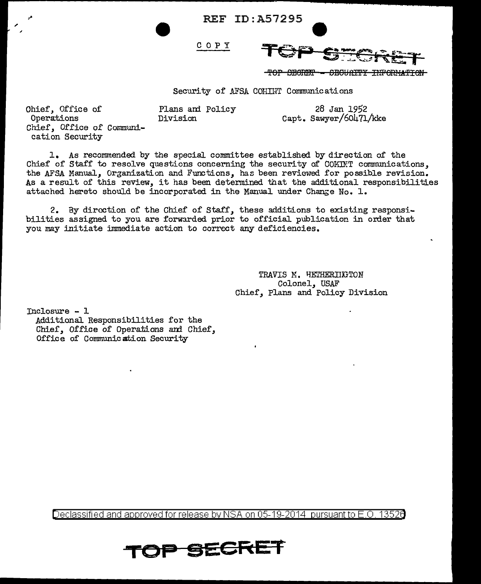REF ID: A57295

COPY



Capt. Sawyer/60471/kke

 $f$  Obort  $f$  - Sequatry information

Security of AFSA COHINT Communications

Ohief, Office of 28 Jan 1952<br>
Operations 1952<br>
Operations 1952<br>
Division 28 Jan 1952 Chief, Office of Communication Security

1. As recommended by the special. committee established by direction of the Chief of Staff to resolve questions concerning the security of COMINT communications, the AFSA Manual, Organization and Functions, has been reviewed for possible revision. As a result of this reView, it has been detemined that the additional responsibilities attached hereto should be incorporated in the Manual under Change No. 1.

2. By direction of the Chief of Staff, these additions to existing responsibilities assigned to you are forwarded prior to official publication in order that you may initiate immediate action to correct any deficiencies.

> TRAVIS M. HETHERIIKTON Colonel, USAF Chief, Plans and Policy Division

Inclosure - 1 Additional Responsibilities for the Chief, Office of Operations and Chief, Office of Communication Security

Declassified and approved for release by NSA on 05-19-2014 pursuantto E .0. 1352a

OP SECRET